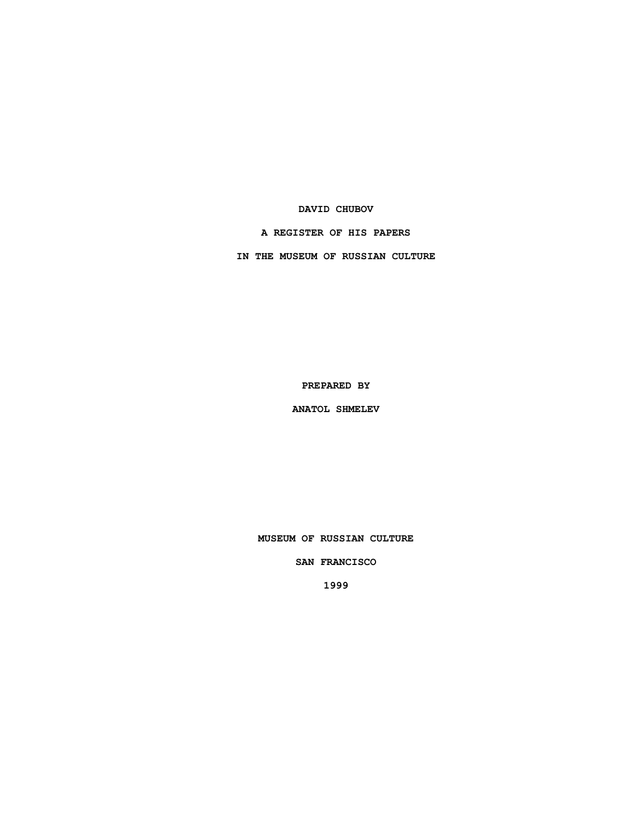## **DAVID CHUBOV**

## **A REGISTER OF HIS PAPERS**

**IN THE MUSEUM OF RUSSIAN CULTURE**

**PREPARED BY**

**ANATOL SHMELEV**

**MUSEUM OF RUSSIAN CULTURE**

### **SAN FRANCISCO**

**1999**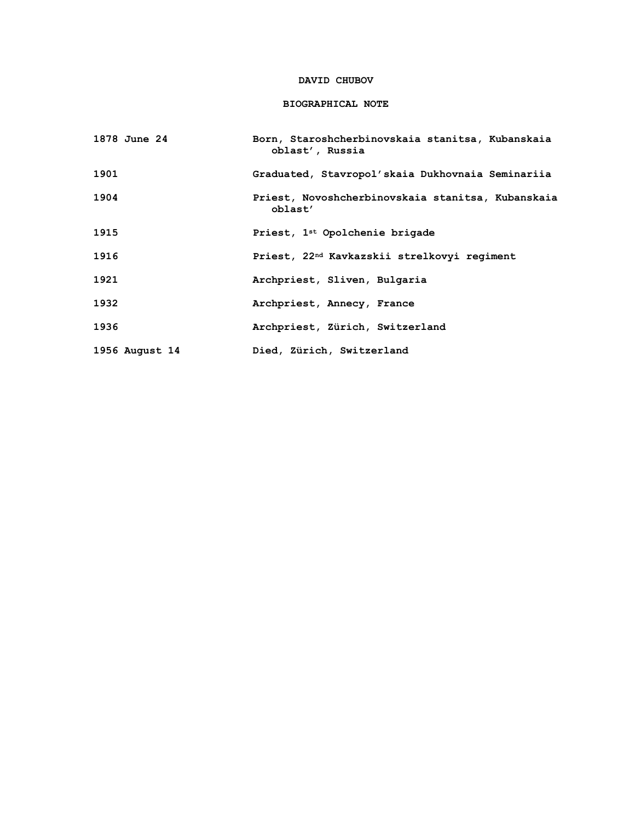## **DAVID CHUBOV**

## **BIOGRAPHICAL NOTE**

| 1878 June 24   | Born, Staroshcherbinovskaia stanitsa, Kubanskaia<br>oblast', Russia |
|----------------|---------------------------------------------------------------------|
| 1901           | Graduated, Stavropol'skaia Dukhovnaia Seminariia                    |
| 1904           | Priest, Novoshcherbinovskaia stanitsa, Kubanskaia<br>oblast'        |
| 1915           | Priest, 1 <sup>st</sup> Opolchenie brigade                          |
| 1916           | Priest, 22 <sup>nd</sup> Kavkazskii strelkovyi regiment             |
| 1921           | Archpriest, Sliven, Bulgaria                                        |
| 1932           | Archpriest, Annecy, France                                          |
| 1936           | Archpriest, Zürich, Switzerland                                     |
| 1956 August 14 | Died, Zürich, Switzerland                                           |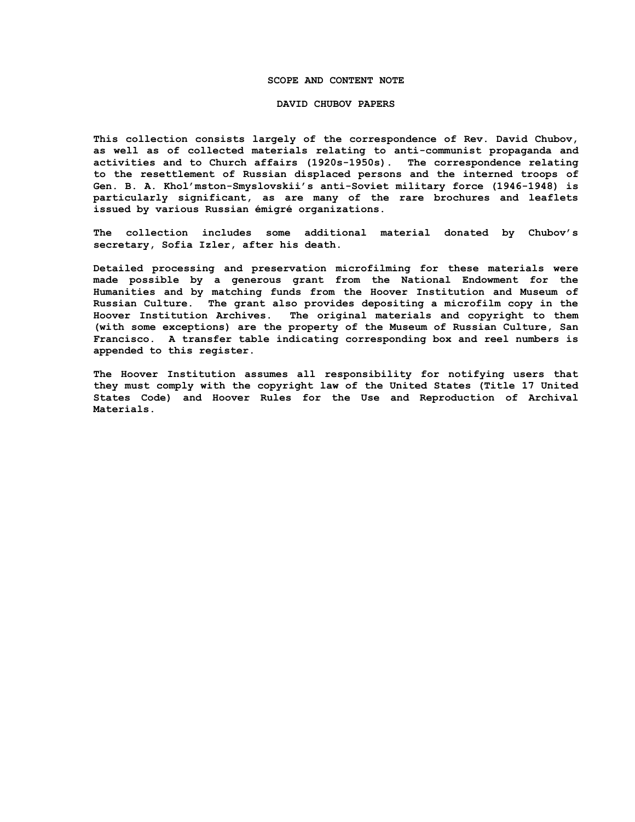#### **SCOPE AND CONTENT NOTE**

#### **DAVID CHUBOV PAPERS**

**This collection consists largely of the correspondence of Rev. David Chubov, as well as of collected materials relating to anti-communist propaganda and activities and to Church affairs (1920s-1950s). The correspondence relating to the resettlement of Russian displaced persons and the interned troops of Gen. B. A. Khol'mston-Smyslovskii's anti-Soviet military force (1946-1948) is particularly significant, as are many of the rare brochures and leaflets issued by various Russian émigré organizations.**

**The collection includes some additional material donated by Chubov's secretary, Sofia Izler, after his death.**

**Detailed processing and preservation microfilming for these materials were made possible by a generous grant from the National Endowment for the Humanities and by matching funds from the Hoover Institution and Museum of Russian Culture. The grant also provides depositing a microfilm copy in the Hoover Institution Archives. The original materials and copyright to them (with some exceptions) are the property of the Museum of Russian Culture, San Francisco. A transfer table indicating corresponding box and reel numbers is appended to this register.**

**The Hoover Institution assumes all responsibility for notifying users that they must comply with the copyright law of the United States (Title 17 United States Code) and Hoover Rules for the Use and Reproduction of Archival Materials.**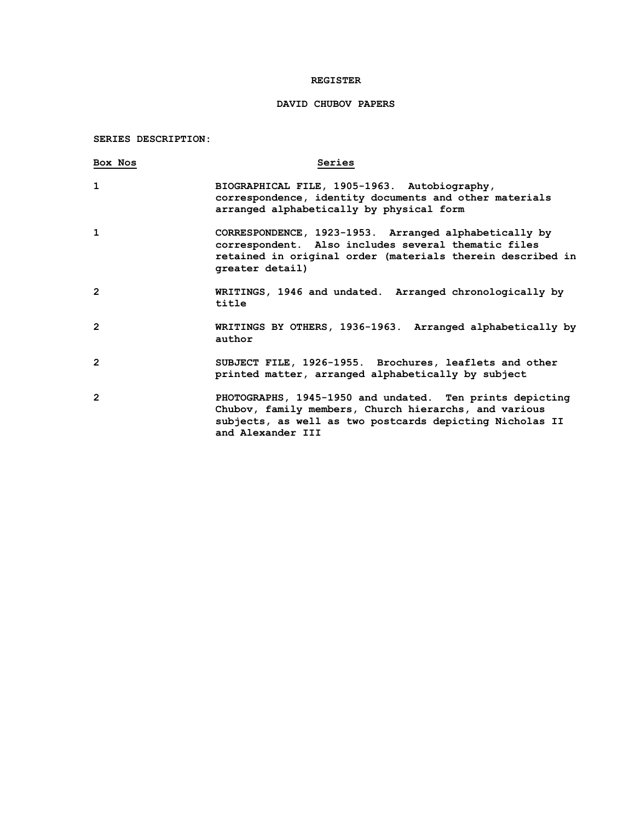## **REGISTER**

# **DAVID CHUBOV PAPERS**

## **SERIES DESCRIPTION:**

| Box Nos        | Series                                                                                                                                                                                             |
|----------------|----------------------------------------------------------------------------------------------------------------------------------------------------------------------------------------------------|
| 1              | BIOGRAPHICAL FILE, 1905-1963. Autobiography,<br>correspondence, identity documents and other materials<br>arranged alphabetically by physical form                                                 |
| 1              | CORRESPONDENCE, 1923-1953. Arranged alphabetically by<br>correspondent. Also includes several thematic files<br>retained in original order (materials therein described in<br>greater detail)      |
| $\overline{2}$ | WRITINGS, 1946 and undated. Arranged chronologically by<br>title                                                                                                                                   |
| $\overline{2}$ | WRITINGS BY OTHERS, 1936-1963. Arranged alphabetically by<br>author                                                                                                                                |
| $\overline{2}$ | SUBJECT FILE, 1926-1955. Brochures, leaflets and other<br>printed matter, arranged alphabetically by subject                                                                                       |
| $\overline{2}$ | PHOTOGRAPHS, 1945-1950 and undated. Ten prints depicting<br>Chubov, family members, Church hierarchs, and various<br>subjects, as well as two postcards depicting Nicholas II<br>and Alexander III |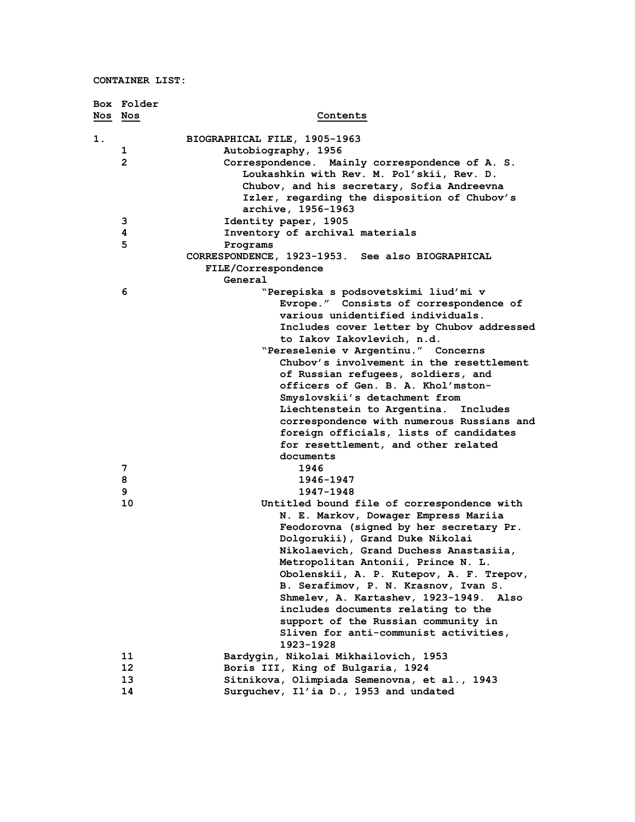|         | Box Folder     |                                                  |
|---------|----------------|--------------------------------------------------|
| Nos Nos |                | Contents                                         |
| 1.      |                | BIOGRAPHICAL FILE, 1905-1963                     |
|         | 1              | Autobiography, 1956                              |
|         | $\overline{2}$ | Correspondence. Mainly correspondence of A. S.   |
|         |                | Loukashkin with Rev. M. Pol'skii, Rev. D.        |
|         |                | Chubov, and his secretary, Sofia Andreevna       |
|         |                | Izler, regarding the disposition of Chubov's     |
|         |                | archive, 1956-1963                               |
|         | 3              | Identity paper, 1905                             |
|         | 4              | Inventory of archival materials                  |
|         | 5              | Programs                                         |
|         |                | CORRESPONDENCE, 1923-1953. See also BIOGRAPHICAL |
|         |                | FILE/Correspondence                              |
|         |                | General                                          |
|         | 6              | "Perepiska s podsovetskimi liud'mi v             |
|         |                | Evrope." Consists of correspondence of           |
|         |                | various unidentified individuals.                |
|         |                | Includes cover letter by Chubov addressed        |
|         |                | to Iakov Iakovlevich, n.d.                       |
|         |                | "Pereselenie v Argentinu." Concerns              |
|         |                | Chubov's involvement in the resettlement         |
|         |                | of Russian refugees, soldiers, and               |
|         |                | officers of Gen. B. A. Khol'mston-               |
|         |                | Smyslovskii's detachment from                    |
|         |                | Liechtenstein to Argentina. Includes             |
|         |                | correspondence with numerous Russians and        |
|         |                | foreign officials, lists of candidates           |
|         |                | for resettlement, and other related              |
|         |                | documents                                        |
|         | 7              | 1946                                             |
|         | 8              | 1946-1947                                        |
|         | 9              | 1947-1948                                        |
|         | 10             | Untitled bound file of correspondence with       |
|         |                | N. E. Markov, Dowager Empress Mariia             |
|         |                | Feodorovna (signed by her secretary Pr.          |
|         |                | Dolgorukii), Grand Duke Nikolai                  |
|         |                | Nikolaevich, Grand Duchess Anastasiia,           |
|         |                | Metropolitan Antonii, Prince N. L.               |
|         |                | Obolenskii, A. P. Kutepov, A. F. Trepov,         |
|         |                | B. Serafimov, P. N. Krasnov, Ivan S.             |
|         |                | Shmelev, A. Kartashev, 1923-1949. Also           |
|         |                | includes documents relating to the               |
|         |                | support of the Russian community in              |
|         |                | Sliven for anti-communist activities,            |
|         |                | 1923-1928                                        |
|         | 11             | Bardygin, Nikolai Mikhailovich, 1953             |
|         | 12             | Boris III, King of Bulgaria, 1924                |
|         | 13             | Sitnikova, Olimpiada Semenovna, et al., 1943     |
|         | 14             | Surguchev, Il'ia D., 1953 and undated            |